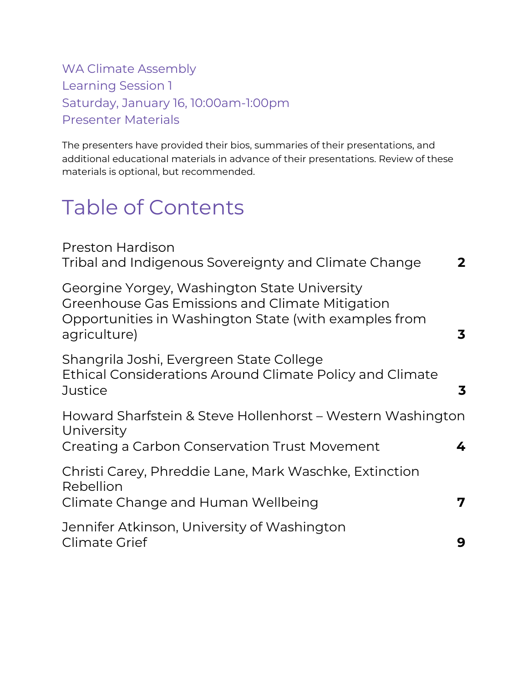WA Climate Assembly Learning Session 1 Saturday, January 16, 10:00am-1:00pm Presenter Materials

The presenters have provided their bios, summaries of their presentations, and additional educational materials in advance of their presentations. Review of these materials is optional, but recommended.

# Table of Contents

| <b>Preston Hardison</b><br>Tribal and Indigenous Sovereignty and Climate Change                                                                                          | $\mathbf{2}$ |
|--------------------------------------------------------------------------------------------------------------------------------------------------------------------------|--------------|
| Georgine Yorgey, Washington State University<br>Greenhouse Gas Emissions and Climate Mitigation<br>Opportunities in Washington State (with examples from<br>agriculture) | 3            |
| Shangrila Joshi, Evergreen State College<br>Ethical Considerations Around Climate Policy and Climate<br>Justice                                                          | 3            |
| Howard Sharfstein & Steve Hollenhorst – Western Washington<br>University<br>Creating a Carbon Conservation Trust Movement                                                | 4            |
| Christi Carey, Phreddie Lane, Mark Waschke, Extinction<br>Rebellion<br>Climate Change and Human Wellbeing                                                                | 7            |
| Jennifer Atkinson, University of Washington<br>Climate Grief                                                                                                             | 9            |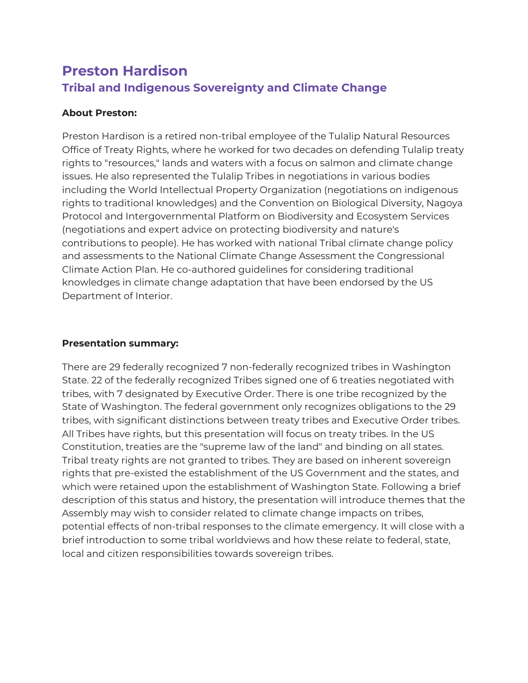### <span id="page-1-0"></span>**Preston Hardison Tribal and Indigenous Sovereignty and Climate Change**

#### **About Preston:**

Preston Hardison is a retired non-tribal employee of the Tulalip Natural Resources Office of Treaty Rights, where he worked for two decades on defending Tulalip treaty rights to "resources," lands and waters with a focus on salmon and climate change issues. He also represented the Tulalip Tribes in negotiations in various bodies including the World Intellectual Property Organization (negotiations on indigenous rights to traditional knowledges) and the Convention on Biological Diversity, Nagoya Protocol and Intergovernmental Platform on Biodiversity and Ecosystem Services (negotiations and expert advice on protecting biodiversity and nature's contributions to people). He has worked with national Tribal climate change policy and assessments to the National Climate Change Assessment the Congressional Climate Action Plan. He co-authored guidelines for considering traditional knowledges in climate change adaptation that have been endorsed by the US Department of Interior.

#### **Presentation summary:**

There are 29 federally recognized 7 non-federally recognized tribes in Washington State. 22 of the federally recognized Tribes signed one of 6 treaties negotiated with tribes, with 7 designated by Executive Order. There is one tribe recognized by the State of Washington. The federal government only recognizes obligations to the 29 tribes, with significant distinctions between treaty tribes and Executive Order tribes. All Tribes have rights, but this presentation will focus on treaty tribes. In the US Constitution, treaties are the "supreme law of the land" and binding on all states. Tribal treaty rights are not granted to tribes. They are based on inherent sovereign rights that pre-existed the establishment of the US Government and the states, and which were retained upon the establishment of Washington State. Following a brief description of this status and history, the presentation will introduce themes that the Assembly may wish to consider related to climate change impacts on tribes, potential effects of non-tribal responses to the climate emergency. It will close with a brief introduction to some tribal worldviews and how these relate to federal, state, local and citizen responsibilities towards sovereign tribes.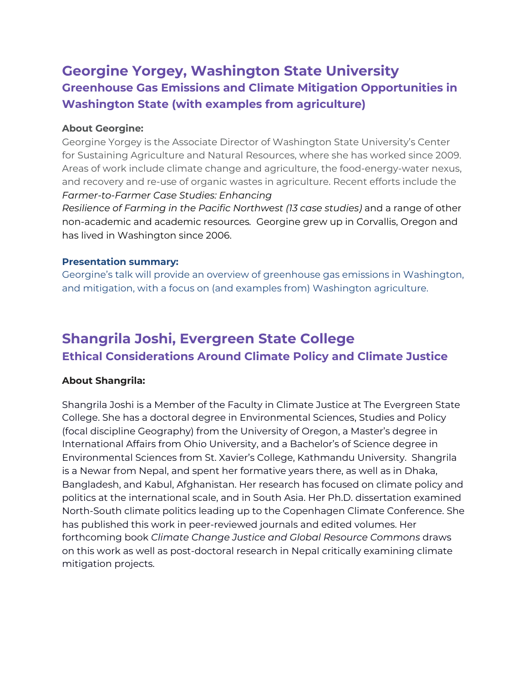### <span id="page-2-0"></span>**Georgine Yorgey, Washington State University Greenhouse Gas Emissions and Climate Mitigation Opportunities in Washington State (with examples from agriculture)**

#### **About Georgine:**

Georgine Yorgey is the Associate Director of Washington State University's Center for Sustaining Agriculture and Natural Resources, where she has worked since 2009. Areas of work include climate change and agriculture, the food-energy-water nexus, and recovery and re-use of organic wastes in agriculture. Recent efforts include the *Farmer-to-Farmer Case Studies: Enhancing*

*Resilience of Farming in the Pacific Northwest (13 case studies)* and a range of other non-academic and academic resources*.* Georgine grew up in Corvallis, Oregon and has lived in Washington since 2006.

#### **Presentation summary:**

Georgine's talk will provide an overview of greenhouse gas emissions in Washington, and mitigation, with a focus on (and examples from) Washington agriculture.

### <span id="page-2-1"></span>**Shangrila Joshi, Evergreen State College Ethical Considerations Around Climate Policy and Climate Justice**

#### **About Shangrila:**

Shangrila Joshi is a Member of the Faculty in Climate Justice at The Evergreen State College. She has a doctoral degree in Environmental Sciences, Studies and Policy (focal discipline Geography) from the University of Oregon, a Master's degree in International Affairs from Ohio University, and a Bachelor's of Science degree in Environmental Sciences from St. Xavier's College, Kathmandu University. Shangrila is a Newar from Nepal, and spent her formative years there, as well as in Dhaka, Bangladesh, and Kabul, Afghanistan. Her research has focused on climate policy and politics at the international scale, and in South Asia. Her Ph.D. dissertation examined North-South climate politics leading up to the Copenhagen Climate Conference. She has published this work in peer-reviewed journals and edited volumes. Her forthcoming book *Climate Change Justice and Global Resource Commons* draws on this work as well as post-doctoral research in Nepal critically examining climate mitigation projects.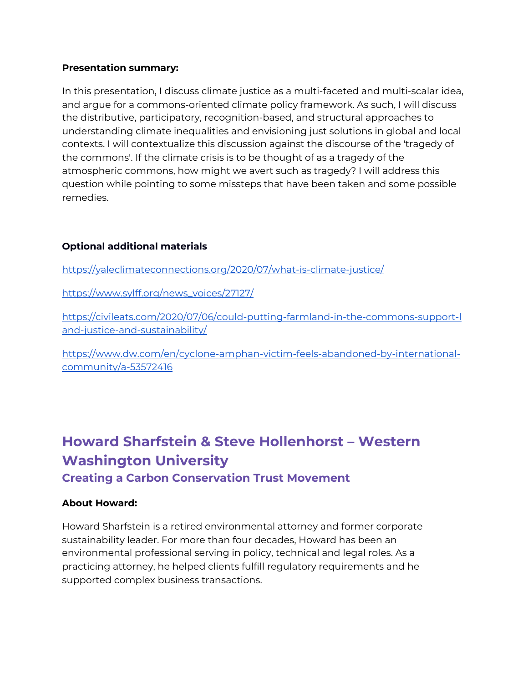#### **Presentation summary:**

In this presentation, I discuss climate justice as a multi-faceted and multi-scalar idea, and argue for a commons-oriented climate policy framework. As such, I will discuss the distributive, participatory, recognition-based, and structural approaches to understanding climate inequalities and envisioning just solutions in global and local contexts. I will contextualize this discussion against the discourse of the 'tragedy of the commons'. If the climate crisis is to be thought of as a tragedy of the atmospheric commons, how might we avert such as tragedy? I will address this question while pointing to some missteps that have been taken and some possible remedies.

#### **Optional additional materials**

<https://yaleclimateconnections.org/2020/07/what-is-climate-justice/>

[https://www.sylff.org/news\\_voices/27127/](https://www.sylff.org/news_voices/27127/)

[https://civileats.com/2020/07/06/could-putting-farmland-in-the-commons-support-l](https://civileats.com/2020/07/06/could-putting-farmland-in-the-commons-support-land-justice-and-sustainability/) [and-justice-and-sustainability/](https://civileats.com/2020/07/06/could-putting-farmland-in-the-commons-support-land-justice-and-sustainability/)

[https://www.dw.com/en/cyclone-amphan-victim-feels-abandoned-by-international](https://www.dw.com/en/cyclone-amphan-victim-feels-abandoned-by-international-community/a-53572416)[community/a-53572416](https://www.dw.com/en/cyclone-amphan-victim-feels-abandoned-by-international-community/a-53572416)

### <span id="page-3-0"></span>**Howard Sharfstein & Steve Hollenhorst – Western Washington University Creating a Carbon Conservation Trust Movement**

#### **About Howard:**

Howard Sharfstein is a retired environmental attorney and former corporate sustainability leader. For more than four decades, Howard has been an environmental professional serving in policy, technical and legal roles. As a practicing attorney, he helped clients fulfill regulatory requirements and he supported complex business transactions.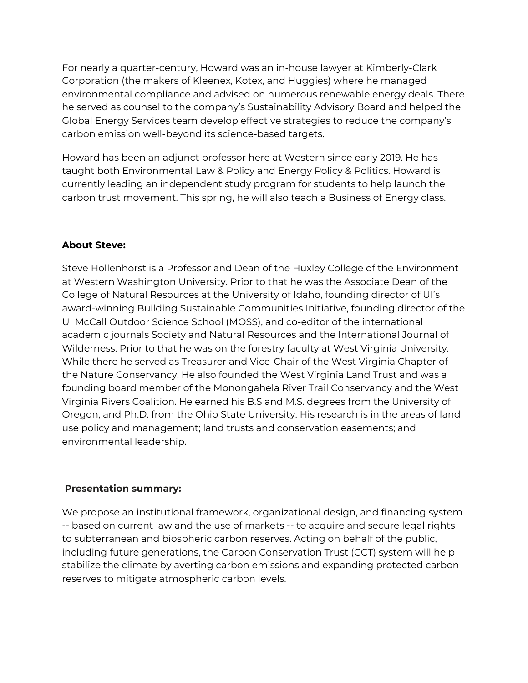For nearly a quarter-century, Howard was an in-house lawyer at Kimberly-Clark Corporation (the makers of Kleenex, Kotex, and Huggies) where he managed environmental compliance and advised on numerous renewable energy deals. There he served as counsel to the company's Sustainability Advisory Board and helped the Global Energy Services team develop effective strategies to reduce the company's carbon emission well-beyond its science-based targets.

Howard has been an adjunct professor here at Western since early 2019. He has taught both Environmental Law & Policy and Energy Policy & Politics. Howard is currently leading an independent study program for students to help launch the carbon trust movement. This spring, he will also teach a Business of Energy class.

#### **About Steve:**

Steve Hollenhorst is a Professor and Dean of the Huxley College of the Environment at Western Washington University. Prior to that he was the Associate Dean of the College of Natural Resources at the University of Idaho, founding director of UI's award-winning Building Sustainable Communities Initiative, founding director of the UI McCall Outdoor Science School (MOSS), and co-editor of the international academic journals Society and Natural Resources and the International Journal of Wilderness. Prior to that he was on the forestry faculty at West Virginia University. While there he served as Treasurer and Vice-Chair of the West Virginia Chapter of the Nature Conservancy. He also founded the West Virginia Land Trust and was a founding board member of the Monongahela River Trail Conservancy and the West Virginia Rivers Coalition. He earned his B.S and M.S. degrees from the University of Oregon, and Ph.D. from the Ohio State University. His research is in the areas of land use policy and management; land trusts and conservation easements; and environmental leadership.

#### **Presentation summary:**

We propose an institutional framework, organizational design, and financing system -- based on current law and the use of markets -- to acquire and secure legal rights to subterranean and biospheric carbon reserves. Acting on behalf of the public, including future generations, the Carbon Conservation Trust (CCT) system will help stabilize the climate by averting carbon emissions and expanding protected carbon reserves to mitigate atmospheric carbon levels.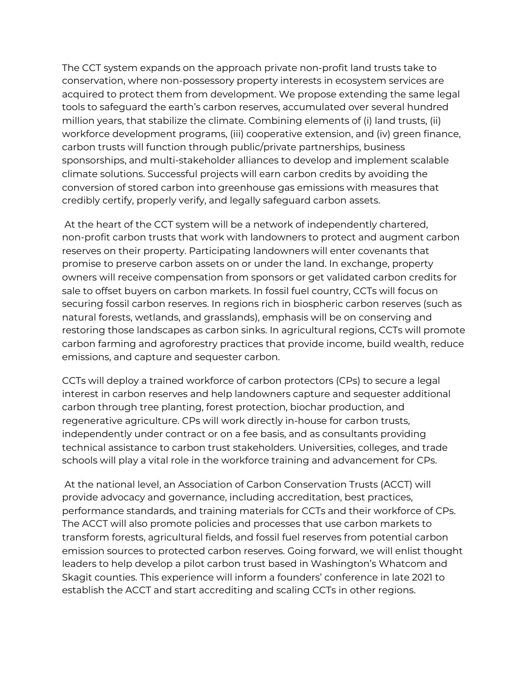The CCT system expands on the approach private non-profit land trusts take to conservation, where non-possessory property interests in ecosystem services are acquired to protect them from development. We propose extending the same legal tools to safeguard the earth's carbon reserves, accumulated over several hundred million years, that stabilize the climate. Combining elements of (i) land trusts, (ii) workforce development programs, (iii) cooperative extension, and (iv) green finance, carbon trusts will function through public/private partnerships, business sponsorships, and multi-stakeholder alliances to develop and implement scalable climate solutions. Successful projects will earn carbon credits by avoiding the conversion of stored carbon into greenhouse gas emissions with measures that credibly certify, properly verify, and legally safeguard carbon assets.

At the heart of the CCT system will be a network of independently chartered, non-profit carbon trusts that work with landowners to protect and augment carbon reserves on their property. Participating landowners will enter covenants that promise to preserve carbon assets on or under the land. In exchange, property owners will receive compensation from sponsors or get validated carbon credits for sale to offset buyers on carbon markets. In fossil fuel country, CCTs will focus on securing fossil carbon reserves. In regions rich in biospheric carbon reserves (such as natural forests, wetlands, and grasslands), emphasis will be on conserving and restoring those landscapes as carbon sinks. In agricultural regions, CCTs will promote carbon farming and agroforestry practices that provide income, build wealth, reduce emissions, and capture and sequester carbon.

CCTs will deploy a trained workforce of carbon protectors (CPs) to secure a legal interest in carbon reserves and help landowners capture and sequester additional carbon through tree planting, forest protection, biochar production, and regenerative agriculture. CPs will work directly in-house for carbon trusts, independently under contract or on a fee basis, and as consultants providing technical assistance to carbon trust stakeholders. Universities, colleges, and trade schools will play a vital role in the workforce training and advancement for CPs.

At the national level, an Association of Carbon Conservation Trusts (ACCT) will provide advocacy and governance, including accreditation, best practices, performance standards, and training materials for CCTs and their workforce of CPs. The ACCT will also promote policies and processes that use carbon markets to transform forests, agricultural fields, and fossil fuel reserves from potential carbon emission sources to protected carbon reserves. Going forward, we will enlist thought leaders to help develop a pilot carbon trust based in Washington's Whatcom and Skagit counties. This experience will inform a founders' conference in late 2021 to establish the ACCT and start accrediting and scaling CCTs in other regions.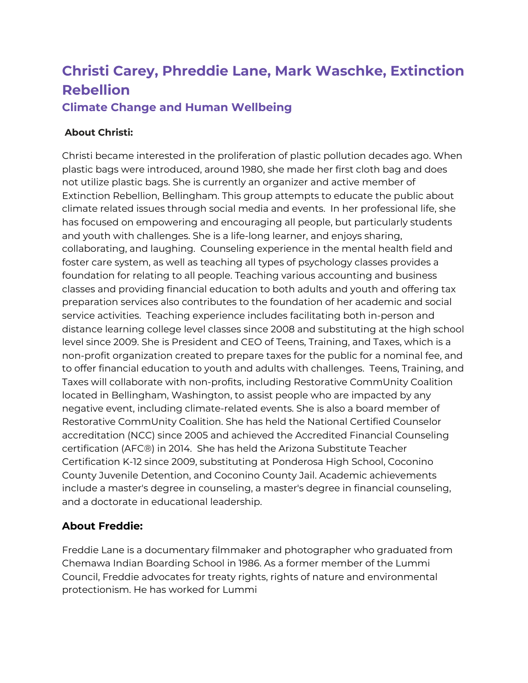## <span id="page-6-0"></span>**Christi Carey, Phreddie Lane, Mark Waschke, Extinction Rebellion**

#### **Climate Change and Human Wellbeing**

#### **About Christi:**

Christi became interested in the proliferation of plastic pollution decades ago. When plastic bags were introduced, around 1980, she made her first cloth bag and does not utilize plastic bags. She is currently an organizer and active member of Extinction Rebellion, Bellingham. This group attempts to educate the public about climate related issues through social media and events. In her professional life, she has focused on empowering and encouraging all people, but particularly students and youth with challenges. She is a life-long learner, and enjoys sharing, collaborating, and laughing. Counseling experience in the mental health field and foster care system, as well as teaching all types of psychology classes provides a foundation for relating to all people. Teaching various accounting and business classes and providing financial education to both adults and youth and offering tax preparation services also contributes to the foundation of her academic and social service activities. Teaching experience includes facilitating both in-person and distance learning college level classes since 2008 and substituting at the high school level since 2009. She is President and CEO of Teens, Training, and Taxes, which is a non-profit organization created to prepare taxes for the public for a nominal fee, and to offer financial education to youth and adults with challenges. Teens, Training, and Taxes will collaborate with non-profits, including Restorative CommUnity Coalition located in Bellingham, Washington, to assist people who are impacted by any negative event, including climate-related events. She is also a board member of Restorative CommUnity Coalition. She has held the National Certified Counselor accreditation (NCC) since 2005 and achieved the Accredited Financial Counseling certification (AFC®) in 2014. She has held the Arizona Substitute Teacher Certification K-12 since 2009, substituting at Ponderosa High School, Coconino County Juvenile Detention, and Coconino County Jail. Academic achievements include a master's degree in counseling, a master's degree in financial counseling, and a doctorate in educational leadership.

#### **About Freddie:**

Freddie Lane is a documentary filmmaker and photographer who graduated from Chemawa Indian Boarding School in 1986. As a former member of the Lummi Council, Freddie advocates for treaty rights, rights of nature and environmental protectionism. He has worked for Lummi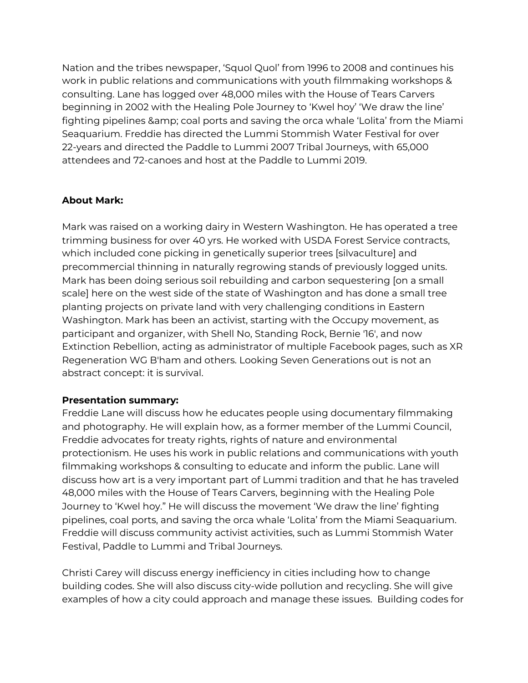Nation and the tribes newspaper, 'Squol Quol' from 1996 to 2008 and continues his work in public relations and communications with youth filmmaking workshops & consulting. Lane has logged over 48,000 miles with the House of Tears Carvers beginning in 2002 with the Healing Pole Journey to 'Kwel hoy' 'We draw the line' fighting pipelines & amp; coal ports and saving the orca whale 'Lolita' from the Miami Seaquarium. Freddie has directed the Lummi Stommish Water Festival for over 22-years and directed the Paddle to Lummi 2007 Tribal Journeys, with 65,000 attendees and 72-canoes and host at the Paddle to Lummi 2019.

#### **About Mark:**

Mark was raised on a working dairy in Western Washington. He has operated a tree trimming business for over 40 yrs. He worked with USDA Forest Service contracts, which included cone picking in genetically superior trees [silvaculture] and precommercial thinning in naturally regrowing stands of previously logged units. Mark has been doing serious soil rebuilding and carbon sequestering [on a small scale] here on the west side of the state of Washington and has done a small tree planting projects on private land with very challenging conditions in Eastern Washington. Mark has been an activist, starting with the Occupy movement, as participant and organizer, with Shell No, Standing Rock, Bernie '16', and now Extinction Rebellion, acting as administrator of multiple Facebook pages, such as XR Regeneration WG B'ham and others. Looking Seven Generations out is not an abstract concept: it is survival.

#### **Presentation summary:**

Freddie Lane will discuss how he educates people using documentary filmmaking and photography. He will explain how, as a former member of the Lummi Council, Freddie advocates for treaty rights, rights of nature and environmental protectionism. He uses his work in public relations and communications with youth filmmaking workshops & consulting to educate and inform the public. Lane will discuss how art is a very important part of Lummi tradition and that he has traveled 48,000 miles with the House of Tears Carvers, beginning with the Healing Pole Journey to 'Kwel hoy." He will discuss the movement 'We draw the line' fighting pipelines, coal ports, and saving the orca whale 'Lolita' from the Miami Seaquarium. Freddie will discuss community activist activities, such as Lummi Stommish Water Festival, Paddle to Lummi and Tribal Journeys.

Christi Carey will discuss energy inefficiency in cities including how to change building codes. She will also discuss city-wide pollution and recycling. She will give examples of how a city could approach and manage these issues. Building codes for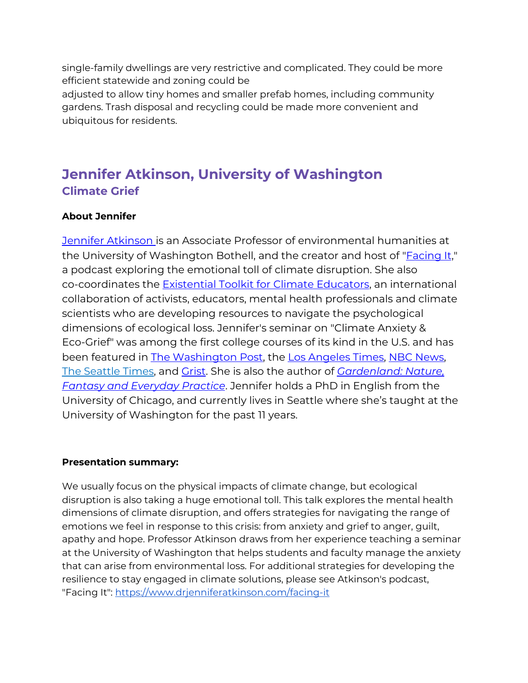single-family dwellings are very restrictive and complicated. They could be more efficient statewide and zoning could be adjusted to allow tiny homes and smaller prefab homes, including community

gardens. Trash disposal and recycling could be made more convenient and ubiquitous for residents.

### <span id="page-8-0"></span>**Jennifer Atkinson, University of Washington Climate Grief**

#### **About Jennifer**

Jennifer [Atkinson](https://www.drjenniferatkinson.com/) is an Associate Professor of environmental humanities at the University of Washington Bothell, and the creator and host of "**Facing It,"** a podcast exploring the emotional toll of climate disruption. She also co-coordinates th[e](https://www.existentialtoolkit.com/) [Existential](https://www.existentialtoolkit.com/) Toolkit for Climate Educators, an international collaboration of activists, educators, mental health professionals and climate scientists who are developing resources to navigate the psychological dimensions of ecological loss. Jennifer's seminar on "Climate Anxiety & Eco-Grief" was among the first college courses of its kind in the U.S. and has been featured in The [Washington](https://wapo.st/2PpH2Ge?tid=ss_mail) Post, the Los [Angeles](https://www.latimes.com/science/story/2020-01-11/feeling-distressed-about-climate-change-heres-how-to-manage-it) Times, NBC [News](https://www.nbcnews.com/health/mental-health/climate-grief-growing-emotional-toll-climate-change-n946751), The [Seattle](https://www.seattletimes.com/seattle-news/education/feeling-it-uw-bothell-class-helps-students-face-emotional-impact-of-a-warming-planet/) Times, and [Grist](https://grist.org/article/climate-change-education-college-graduation/). She is also the author of *[Gardenland:](https://ugapress.org/book/9780820353197/gardenland/) Nature, Fantasy and [Everyday](https://ugapress.org/book/9780820353197/gardenland/) Practice*. Jennifer holds a PhD in English from the University of Chicago, and currently lives in Seattle where she's taught at the University of Washington for the past 11 years.

#### **Presentation summary:**

We usually focus on the physical impacts of climate change, but ecological disruption is also taking a huge emotional toll. This talk explores the mental health dimensions of climate disruption, and offers strategies for navigating the range of emotions we feel in response to this crisis: from anxiety and grief to anger, guilt, apathy and hope. Professor Atkinson draws from her experience teaching a seminar at the University of Washington that helps students and faculty manage the anxiety that can arise from environmental loss. For additional strategies for developing the resilience to stay engaged in climate solutions, please see Atkinson's podcast, "Facing It"[:](https://www.drjenniferatkinson.com/facing-it) <https://www.drjenniferatkinson.com/facing-it>